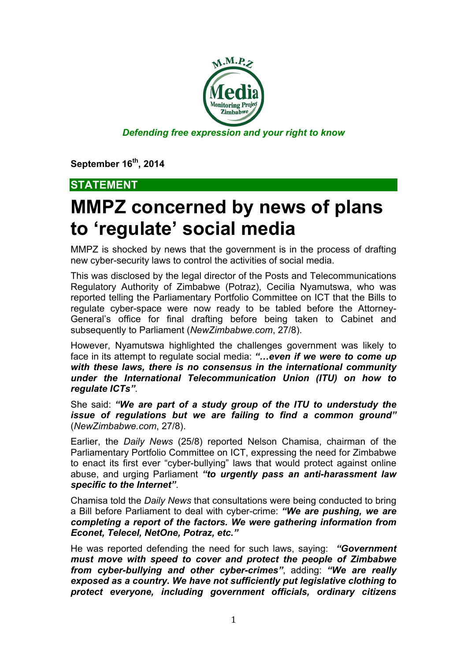

**September 16th, 2014**

## **STATEMENT**

## **MMPZ concerned by news of plans to 'regulate' social media**

MMPZ is shocked by news that the government is in the process of drafting new cyber-security laws to control the activities of social media.

This was disclosed by the legal director of the Posts and Telecommunications Regulatory Authority of Zimbabwe (Potraz), Cecilia Nyamutswa, who was reported telling the Parliamentary Portfolio Committee on ICT that the Bills to regulate cyber-space were now ready to be tabled before the Attorney-General's office for final drafting before being taken to Cabinet and subsequently to Parliament (*NewZimbabwe.com*, 27/8).

However, Nyamutswa highlighted the challenges government was likely to face in its attempt to regulate social media: *"…even if we were to come up with these laws, there is no consensus in the international community under the International Telecommunication Union (ITU) on how to regulate ICTs"*.

She said: *"We are part of a study group of the ITU to understudy the issue of regulations but we are failing to find a common ground"*  (*NewZimbabwe.com*, 27/8).

Earlier, the *Daily News* (25/8) reported Nelson Chamisa, chairman of the Parliamentary Portfolio Committee on ICT, expressing the need for Zimbabwe to enact its first ever "cyber-bullying" laws that would protect against online abuse, and urging Parliament *"to urgently pass an anti-harassment law specific to the Internet"*.

Chamisa told the *Daily News* that consultations were being conducted to bring a Bill before Parliament to deal with cyber-crime: *"We are pushing, we are completing a report of the factors. We were gathering information from Econet, Telecel, NetOne, Potraz, etc."*

He was reported defending the need for such laws, saying: *"Government must move with speed to cover and protect the people of Zimbabwe from cyber-bullying and other cyber-crimes"*, adding: *"We are really exposed as a country. We have not sufficiently put legislative clothing to protect everyone, including government officials, ordinary citizens*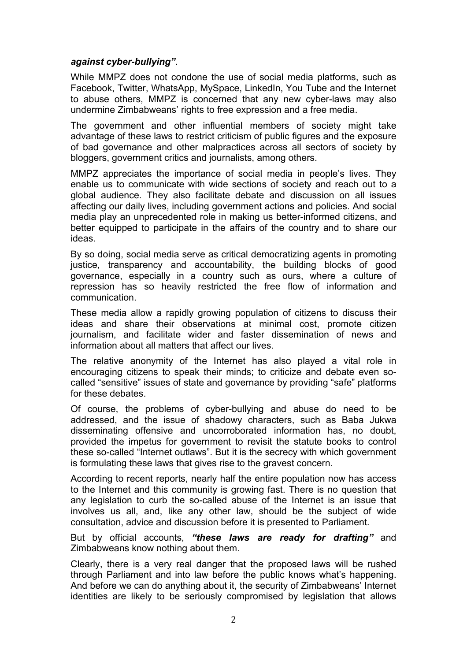## *against cyber-bullying"*.

While MMPZ does not condone the use of social media platforms, such as Facebook, Twitter, WhatsApp, MySpace, LinkedIn, You Tube and the Internet to abuse others, MMPZ is concerned that any new cyber-laws may also undermine Zimbabweans' rights to free expression and a free media.

The government and other influential members of society might take advantage of these laws to restrict criticism of public figures and the exposure of bad governance and other malpractices across all sectors of society by bloggers, government critics and journalists, among others.

MMPZ appreciates the importance of social media in people's lives. They enable us to communicate with wide sections of society and reach out to a global audience. They also facilitate debate and discussion on all issues affecting our daily lives, including government actions and policies. And social media play an unprecedented role in making us better-informed citizens, and better equipped to participate in the affairs of the country and to share our ideas.

By so doing, social media serve as critical democratizing agents in promoting justice, transparency and accountability, the building blocks of good governance, especially in a country such as ours, where a culture of repression has so heavily restricted the free flow of information and communication.

These media allow a rapidly growing population of citizens to discuss their ideas and share their observations at minimal cost, promote citizen journalism, and facilitate wider and faster dissemination of news and information about all matters that affect our lives.

The relative anonymity of the Internet has also played a vital role in encouraging citizens to speak their minds; to criticize and debate even socalled "sensitive" issues of state and governance by providing "safe" platforms for these debates.

Of course, the problems of cyber-bullying and abuse do need to be addressed, and the issue of shadowy characters, such as Baba Jukwa disseminating offensive and uncorroborated information has, no doubt, provided the impetus for government to revisit the statute books to control these so-called "Internet outlaws". But it is the secrecy with which government is formulating these laws that gives rise to the gravest concern.

According to recent reports, nearly half the entire population now has access to the Internet and this community is growing fast. There is no question that any legislation to curb the so-called abuse of the Internet is an issue that involves us all, and, like any other law, should be the subject of wide consultation, advice and discussion before it is presented to Parliament.

But by official accounts, *"these laws are ready for drafting"* and Zimbabweans know nothing about them.

Clearly, there is a very real danger that the proposed laws will be rushed through Parliament and into law before the public knows what's happening. And before we can do anything about it, the security of Zimbabweans' Internet identities are likely to be seriously compromised by legislation that allows